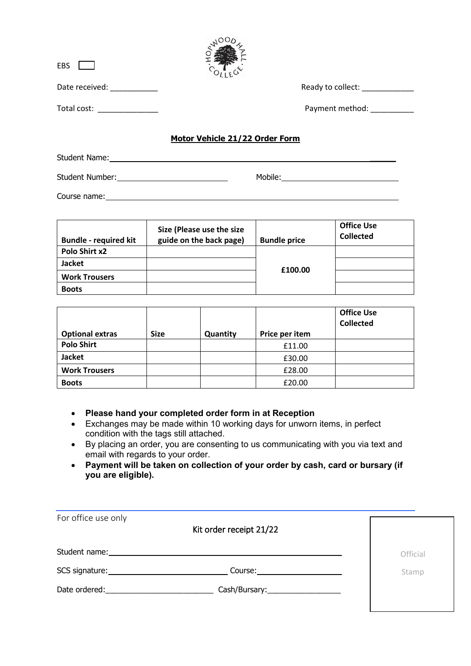| EBS                                              |                                |  |
|--------------------------------------------------|--------------------------------|--|
| Date received:                                   | Ready to collect:              |  |
| Total cost:<br>the control of the control of the | Payment method:                |  |
|                                                  | Motor Vehicle 21/22 Order Form |  |

NOODL

## Student Name: \_\_\_\_\_\_ Student Number: Mobile: Mobile: Mobile: Mobile: Mobile: Mobile: Mobile: Mobile: Mobile: Mobile: Mobile: Mobile: Mobile: Mobile: Mobile: Mobile: Mobile: Mobile: Mobile: Mobile: Mobile: Mobile: Mobile: Mobile: Mobile: Mobile

Course name: experience of the contract of the contract of the contract of the contract of the contract of the contract of the contract of the contract of the contract of the contract of the contract of the contract of the

| <b>Bundle - required kit</b> | Size (Please use the size<br>guide on the back page) | <b>Bundle price</b> | <b>Office Use</b><br><b>Collected</b> |
|------------------------------|------------------------------------------------------|---------------------|---------------------------------------|
| Polo Shirt x2                |                                                      |                     |                                       |
| <b>Jacket</b>                |                                                      |                     |                                       |
| <b>Work Trousers</b>         |                                                      | £100.00             |                                       |
| <b>Boots</b>                 |                                                      |                     |                                       |

|                        |             |          |                | <b>Office Use</b><br><b>Collected</b> |
|------------------------|-------------|----------|----------------|---------------------------------------|
| <b>Optional extras</b> | <b>Size</b> | Quantity | Price per item |                                       |
| <b>Polo Shirt</b>      |             |          | £11.00         |                                       |
| <b>Jacket</b>          |             |          | £30.00         |                                       |
| <b>Work Trousers</b>   |             |          | £28.00         |                                       |
| <b>Boots</b>           |             |          | £20.00         |                                       |

- **Please hand your completed order form in at Reception**
- Exchanges may be made within 10 working days for unworn items, in perfect condition with the tags still attached.
- By placing an order, you are consenting to us communicating with you via text and email with regards to your order.
- **Payment will be taken on collection of your order by cash, card or bursary (if you are eligible).**

| For office use only                                                                                                                                                                                                           | Kit order receipt 21/22                                                                                                                                                                                                       |          |
|-------------------------------------------------------------------------------------------------------------------------------------------------------------------------------------------------------------------------------|-------------------------------------------------------------------------------------------------------------------------------------------------------------------------------------------------------------------------------|----------|
|                                                                                                                                                                                                                               | Student name: the contract of the contract of the contract of the contract of the contract of the contract of the contract of the contract of the contract of the contract of the contract of the contract of the contract of | Official |
| SCS signature: Note and the set of the set of the set of the set of the set of the set of the set of the set of the set of the set of the set of the set of the set of the set of the set of the set of the set of the set of | Course:______________________                                                                                                                                                                                                 | Stamp    |
| Date ordered:                                                                                                                                                                                                                 | Cash/Bursary:____________________                                                                                                                                                                                             |          |